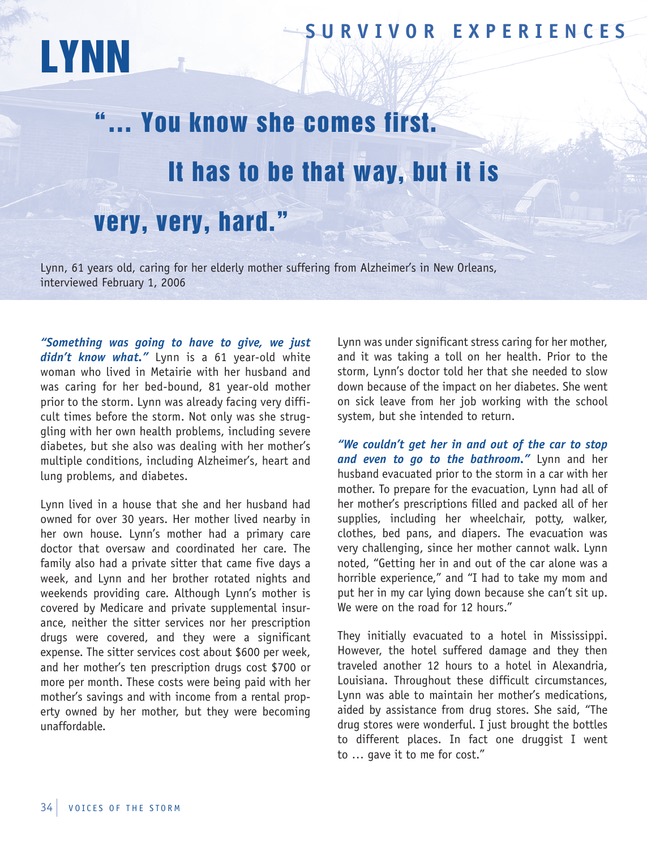## **SUR V I V OR EX P ER I ENCES**

## "… You know she comes first. It has to be that way, but it is very, very, hard."

Lynn, 61 years old, caring for her elderly mother suffering from Alzheimer's in New Orleans, interviewed February 1, 2006

*"Something was going to have to give, we just didn't know what."* Lynn is a 61 year-old white woman who lived in Metairie with her husband and was caring for her bed-bound, 81 year-old mother prior to the storm. Lynn was already facing very difficult times before the storm. Not only was she struggling with her own health problems, including severe diabetes, but she also was dealing with her mother's multiple conditions, including Alzheimer's, heart and lung problems, and diabetes.

LYNN

Lynn lived in a house that she and her husband had owned for over 30 years. Her mother lived nearby in her own house. Lynn's mother had a primary care doctor that oversaw and coordinated her care. The family also had a private sitter that came five days a week, and Lynn and her brother rotated nights and weekends providing care. Although Lynn's mother is covered by Medicare and private supplemental insurance, neither the sitter services nor her prescription drugs were covered, and they were a significant expense. The sitter services cost about \$600 per week, and her mother's ten prescription drugs cost \$700 or more per month. These costs were being paid with her mother's savings and with income from a rental property owned by her mother, but they were becoming unaffordable.

Lynn was under significant stress caring for her mother, and it was taking a toll on her health. Prior to the storm, Lynn's doctor told her that she needed to slow down because of the impact on her diabetes. She went on sick leave from her job working with the school system, but she intended to return.

*"We couldn't get her in and out of the car to stop and even to go to the bathroom."* Lynn and her husband evacuated prior to the storm in a car with her mother. To prepare for the evacuation, Lynn had all of her mother's prescriptions filled and packed all of her supplies, including her wheelchair, potty, walker, clothes, bed pans, and diapers. The evacuation was very challenging, since her mother cannot walk. Lynn noted, "Getting her in and out of the car alone was a horrible experience," and "I had to take my mom and put her in my car lying down because she can't sit up. We were on the road for 12 hours."

They initially evacuated to a hotel in Mississippi. However, the hotel suffered damage and they then traveled another 12 hours to a hotel in Alexandria, Louisiana. Throughout these difficult circumstances, Lynn was able to maintain her mother's medications, aided by assistance from drug stores. She said, "The drug stores were wonderful. I just brought the bottles to different places. In fact one druggist I went to … gave it to me for cost."